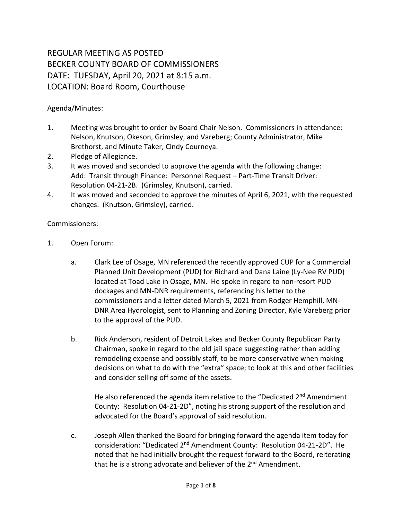## REGULAR MEETING AS POSTED BECKER COUNTY BOARD OF COMMISSIONERS DATE: TUESDAY, April 20, 2021 at 8:15 a.m. LOCATION: Board Room, Courthouse

Agenda/Minutes:

- 1. Meeting was brought to order by Board Chair Nelson. Commissioners in attendance: Nelson, Knutson, Okeson, Grimsley, and Vareberg; County Administrator, Mike Brethorst, and Minute Taker, Cindy Courneya.
- 2. Pledge of Allegiance.
- 3. It was moved and seconded to approve the agenda with the following change: Add: Transit through Finance: Personnel Request – Part-Time Transit Driver: Resolution 04-21-2B. (Grimsley, Knutson), carried.
- 4. It was moved and seconded to approve the minutes of April 6, 2021, with the requested changes. (Knutson, Grimsley), carried.

Commissioners:

- 1. Open Forum:
	- a. Clark Lee of Osage, MN referenced the recently approved CUP for a Commercial Planned Unit Development (PUD) for Richard and Dana Laine (Ly-Nee RV PUD) located at Toad Lake in Osage, MN. He spoke in regard to non-resort PUD dockages and MN-DNR requirements, referencing his letter to the commissioners and a letter dated March 5, 2021 from Rodger Hemphill, MN-DNR Area Hydrologist, sent to Planning and Zoning Director, Kyle Vareberg prior to the approval of the PUD.
	- b. Rick Anderson, resident of Detroit Lakes and Becker County Republican Party Chairman, spoke in regard to the old jail space suggesting rather than adding remodeling expense and possibly staff, to be more conservative when making decisions on what to do with the "extra" space; to look at this and other facilities and consider selling off some of the assets.

He also referenced the agenda item relative to the "Dedicated 2<sup>nd</sup> Amendment County: Resolution 04-21-2D", noting his strong support of the resolution and advocated for the Board's approval of said resolution.

c. Joseph Allen thanked the Board for bringing forward the agenda item today for consideration: "Dedicated 2<sup>nd</sup> Amendment County: Resolution 04-21-2D". He noted that he had initially brought the request forward to the Board, reiterating that he is a strong advocate and believer of the  $2^{nd}$  Amendment.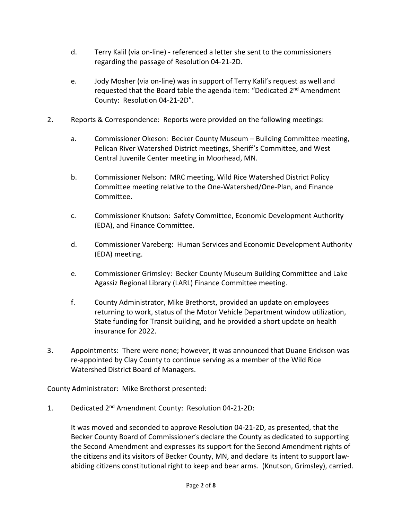- d. Terry Kalil (via on-line) referenced a letter she sent to the commissioners regarding the passage of Resolution 04-21-2D.
- e. Jody Mosher (via on-line) was in support of Terry Kalil's request as well and requested that the Board table the agenda item: "Dedicated 2<sup>nd</sup> Amendment County: Resolution 04-21-2D".
- 2. Reports & Correspondence: Reports were provided on the following meetings:
	- a. Commissioner Okeson: Becker County Museum Building Committee meeting, Pelican River Watershed District meetings, Sheriff's Committee, and West Central Juvenile Center meeting in Moorhead, MN.
	- b. Commissioner Nelson: MRC meeting, Wild Rice Watershed District Policy Committee meeting relative to the One-Watershed/One-Plan, and Finance Committee.
	- c. Commissioner Knutson: Safety Committee, Economic Development Authority (EDA), and Finance Committee.
	- d. Commissioner Vareberg: Human Services and Economic Development Authority (EDA) meeting.
	- e. Commissioner Grimsley: Becker County Museum Building Committee and Lake Agassiz Regional Library (LARL) Finance Committee meeting.
	- f. County Administrator, Mike Brethorst, provided an update on employees returning to work, status of the Motor Vehicle Department window utilization, State funding for Transit building, and he provided a short update on health insurance for 2022.
- 3. Appointments: There were none; however, it was announced that Duane Erickson was re-appointed by Clay County to continue serving as a member of the Wild Rice Watershed District Board of Managers.

County Administrator: Mike Brethorst presented:

1. Dedicated 2nd Amendment County: Resolution 04-21-2D:

It was moved and seconded to approve Resolution 04-21-2D, as presented, that the Becker County Board of Commissioner's declare the County as dedicated to supporting the Second Amendment and expresses its support for the Second Amendment rights of the citizens and its visitors of Becker County, MN, and declare its intent to support lawabiding citizens constitutional right to keep and bear arms. (Knutson, Grimsley), carried.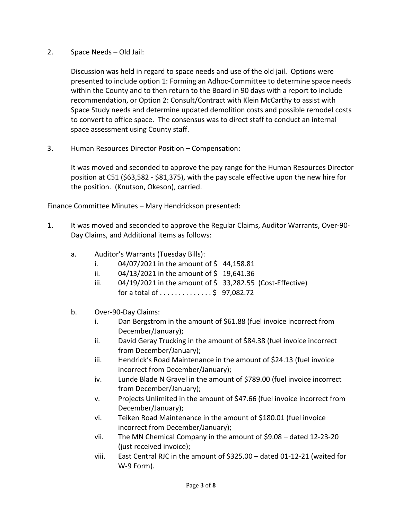2. Space Needs – Old Jail:

Discussion was held in regard to space needs and use of the old jail. Options were presented to include option 1: Forming an Adhoc-Committee to determine space needs within the County and to then return to the Board in 90 days with a report to include recommendation, or Option 2: Consult/Contract with Klein McCarthy to assist with Space Study needs and determine updated demolition costs and possible remodel costs to convert to office space. The consensus was to direct staff to conduct an internal space assessment using County staff.

3. Human Resources Director Position – Compensation:

It was moved and seconded to approve the pay range for the Human Resources Director position at C51 (\$63,582 - \$81,375), with the pay scale effective upon the new hire for the position. (Knutson, Okeson), carried.

Finance Committee Minutes – Mary Hendrickson presented:

- 1. It was moved and seconded to approve the Regular Claims, Auditor Warrants, Over-90- Day Claims, and Additional items as follows:
	- a. Auditor's Warrants (Tuesday Bills):
		- i.  $04/07/2021$  in the amount of \$44,158.81
		- ii.  $04/13/2021$  in the amount of \$ 19,641.36
		- iii.  $04/19/2021$  in the amount of \$ 33,282.55 (Cost-Effective) for a total of  $\dots$ ..........\$ 97,082.72
	- b. Over-90-Day Claims:
		- i. Dan Bergstrom in the amount of \$61.88 (fuel invoice incorrect from December/January);
		- ii. David Geray Trucking in the amount of \$84.38 (fuel invoice incorrect from December/January);
		- iii. Hendrick's Road Maintenance in the amount of \$24.13 (fuel invoice incorrect from December/January);
		- iv. Lunde Blade N Gravel in the amount of \$789.00 (fuel invoice incorrect from December/January);
		- v. Projects Unlimited in the amount of \$47.66 (fuel invoice incorrect from December/January);
		- vi. Teiken Road Maintenance in the amount of \$180.01 (fuel invoice incorrect from December/January);
		- vii. The MN Chemical Company in the amount of \$9.08 dated 12-23-20 (just received invoice);
		- viii. East Central RJC in the amount of \$325.00 dated 01-12-21 (waited for W-9 Form).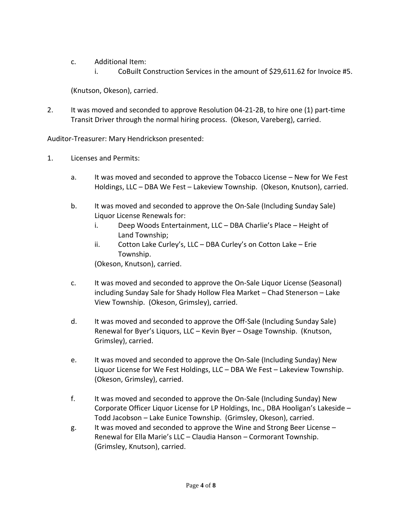- c. Additional Item:
	- i. CoBuilt Construction Services in the amount of \$29,611.62 for Invoice #5.

(Knutson, Okeson), carried.

2. It was moved and seconded to approve Resolution 04-21-2B, to hire one (1) part-time Transit Driver through the normal hiring process. (Okeson, Vareberg), carried.

Auditor-Treasurer: Mary Hendrickson presented:

- 1. Licenses and Permits:
	- a. It was moved and seconded to approve the Tobacco License New for We Fest Holdings, LLC – DBA We Fest – Lakeview Township. (Okeson, Knutson), carried.
	- b. It was moved and seconded to approve the On-Sale (Including Sunday Sale) Liquor License Renewals for:
		- i. Deep Woods Entertainment, LLC DBA Charlie's Place Height of Land Township;
		- ii. Cotton Lake Curley's, LLC DBA Curley's on Cotton Lake Erie Township.

(Okeson, Knutson), carried.

- c. It was moved and seconded to approve the On-Sale Liquor License (Seasonal) including Sunday Sale for Shady Hollow Flea Market – Chad Stenerson – Lake View Township. (Okeson, Grimsley), carried.
- d. It was moved and seconded to approve the Off-Sale (Including Sunday Sale) Renewal for Byer's Liquors, LLC – Kevin Byer – Osage Township. (Knutson, Grimsley), carried.
- e. It was moved and seconded to approve the On-Sale (Including Sunday) New Liquor License for We Fest Holdings, LLC – DBA We Fest – Lakeview Township. (Okeson, Grimsley), carried.
- f. It was moved and seconded to approve the On-Sale (Including Sunday) New Corporate Officer Liquor License for LP Holdings, Inc., DBA Hooligan's Lakeside – Todd Jacobson – Lake Eunice Township. (Grimsley, Okeson), carried.
- g. It was moved and seconded to approve the Wine and Strong Beer License Renewal for Ella Marie's LLC – Claudia Hanson – Cormorant Township. (Grimsley, Knutson), carried.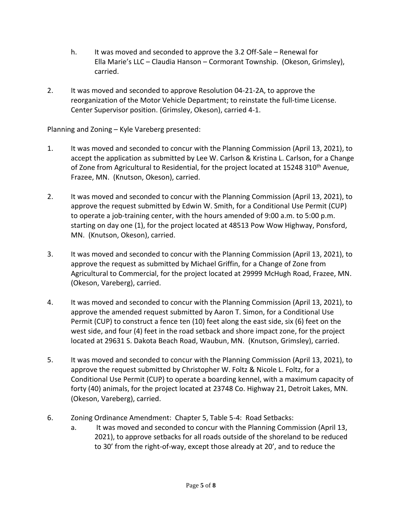- h. It was moved and seconded to approve the 3.2 Off-Sale Renewal for Ella Marie's LLC – Claudia Hanson – Cormorant Township. (Okeson, Grimsley), carried.
- 2. It was moved and seconded to approve Resolution 04-21-2A, to approve the reorganization of the Motor Vehicle Department; to reinstate the full-time License. Center Supervisor position. (Grimsley, Okeson), carried 4-1.

Planning and Zoning – Kyle Vareberg presented:

- 1. It was moved and seconded to concur with the Planning Commission (April 13, 2021), to accept the application as submitted by Lee W. Carlson & Kristina L. Carlson, for a Change of Zone from Agricultural to Residential, for the project located at 15248 310<sup>th</sup> Avenue, Frazee, MN. (Knutson, Okeson), carried.
- 2. It was moved and seconded to concur with the Planning Commission (April 13, 2021), to approve the request submitted by Edwin W. Smith, for a Conditional Use Permit (CUP) to operate a job-training center, with the hours amended of 9:00 a.m. to 5:00 p.m. starting on day one (1), for the project located at 48513 Pow Wow Highway, Ponsford, MN. (Knutson, Okeson), carried.
- 3. It was moved and seconded to concur with the Planning Commission (April 13, 2021), to approve the request as submitted by Michael Griffin, for a Change of Zone from Agricultural to Commercial, for the project located at 29999 McHugh Road, Frazee, MN. (Okeson, Vareberg), carried.
- 4. It was moved and seconded to concur with the Planning Commission (April 13, 2021), to approve the amended request submitted by Aaron T. Simon, for a Conditional Use Permit (CUP) to construct a fence ten (10) feet along the east side, six (6) feet on the west side, and four (4) feet in the road setback and shore impact zone, for the project located at 29631 S. Dakota Beach Road, Waubun, MN. (Knutson, Grimsley), carried.
- 5. It was moved and seconded to concur with the Planning Commission (April 13, 2021), to approve the request submitted by Christopher W. Foltz & Nicole L. Foltz, for a Conditional Use Permit (CUP) to operate a boarding kennel, with a maximum capacity of forty (40) animals, for the project located at 23748 Co. Highway 21, Detroit Lakes, MN. (Okeson, Vareberg), carried.
- 6. Zoning Ordinance Amendment: Chapter 5, Table 5-4: Road Setbacks:
	- a. It was moved and seconded to concur with the Planning Commission (April 13, 2021), to approve setbacks for all roads outside of the shoreland to be reduced to 30' from the right-of-way, except those already at 20', and to reduce the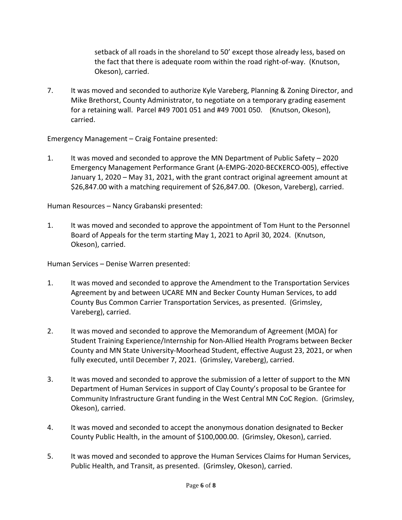setback of all roads in the shoreland to 50' except those already less, based on the fact that there is adequate room within the road right-of-way. (Knutson, Okeson), carried.

7. It was moved and seconded to authorize Kyle Vareberg, Planning & Zoning Director, and Mike Brethorst, County Administrator, to negotiate on a temporary grading easement for a retaining wall. Parcel #49 7001 051 and #49 7001 050. (Knutson, Okeson), carried.

Emergency Management – Craig Fontaine presented:

1. It was moved and seconded to approve the MN Department of Public Safety – 2020 Emergency Management Performance Grant (A-EMPG-2020-BECKERCO-005), effective January 1, 2020 – May 31, 2021, with the grant contract original agreement amount at \$26,847.00 with a matching requirement of \$26,847.00. (Okeson, Vareberg), carried.

Human Resources – Nancy Grabanski presented:

1. It was moved and seconded to approve the appointment of Tom Hunt to the Personnel Board of Appeals for the term starting May 1, 2021 to April 30, 2024. (Knutson, Okeson), carried.

Human Services – Denise Warren presented:

- 1. It was moved and seconded to approve the Amendment to the Transportation Services Agreement by and between UCARE MN and Becker County Human Services, to add County Bus Common Carrier Transportation Services, as presented. (Grimsley, Vareberg), carried.
- 2. It was moved and seconded to approve the Memorandum of Agreement (MOA) for Student Training Experience/Internship for Non-Allied Health Programs between Becker County and MN State University-Moorhead Student, effective August 23, 2021, or when fully executed, until December 7, 2021. (Grimsley, Vareberg), carried.
- 3. It was moved and seconded to approve the submission of a letter of support to the MN Department of Human Services in support of Clay County's proposal to be Grantee for Community Infrastructure Grant funding in the West Central MN CoC Region. (Grimsley, Okeson), carried.
- 4. It was moved and seconded to accept the anonymous donation designated to Becker County Public Health, in the amount of \$100,000.00. (Grimsley, Okeson), carried.
- 5. It was moved and seconded to approve the Human Services Claims for Human Services, Public Health, and Transit, as presented. (Grimsley, Okeson), carried.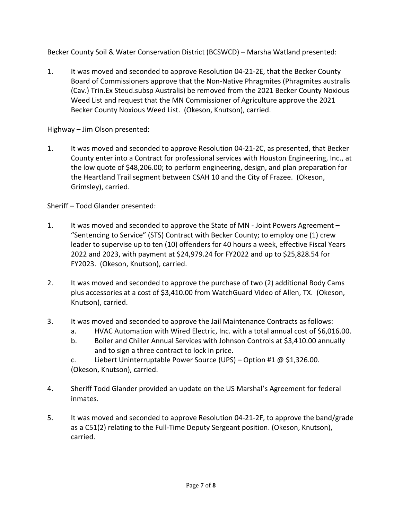Becker County Soil & Water Conservation District (BCSWCD) – Marsha Watland presented:

1. It was moved and seconded to approve Resolution 04-21-2E, that the Becker County Board of Commissioners approve that the Non-Native Phragmites (Phragmites australis (Cav.) Trin.Ex Steud.subsp Australis) be removed from the 2021 Becker County Noxious Weed List and request that the MN Commissioner of Agriculture approve the 2021 Becker County Noxious Weed List. (Okeson, Knutson), carried.

Highway – Jim Olson presented:

1. It was moved and seconded to approve Resolution 04-21-2C, as presented, that Becker County enter into a Contract for professional services with Houston Engineering, Inc., at the low quote of \$48,206.00; to perform engineering, design, and plan preparation for the Heartland Trail segment between CSAH 10 and the City of Frazee. (Okeson, Grimsley), carried.

Sheriff – Todd Glander presented:

- 1. It was moved and seconded to approve the State of MN Joint Powers Agreement "Sentencing to Service" (STS) Contract with Becker County; to employ one (1) crew leader to supervise up to ten (10) offenders for 40 hours a week, effective Fiscal Years 2022 and 2023, with payment at \$24,979.24 for FY2022 and up to \$25,828.54 for FY2023. (Okeson, Knutson), carried.
- 2. It was moved and seconded to approve the purchase of two (2) additional Body Cams plus accessories at a cost of \$3,410.00 from WatchGuard Video of Allen, TX. (Okeson, Knutson), carried.
- 3. It was moved and seconded to approve the Jail Maintenance Contracts as follows:
	- a. HVAC Automation with Wired Electric, Inc. with a total annual cost of \$6,016.00.
	- b. Boiler and Chiller Annual Services with Johnson Controls at \$3,410.00 annually and to sign a three contract to lock in price.
	- c. Liebert Uninterruptable Power Source (UPS) Option #1  $\omega$  \$1,326.00. (Okeson, Knutson), carried.
- 4. Sheriff Todd Glander provided an update on the US Marshal's Agreement for federal inmates.
- 5. It was moved and seconded to approve Resolution 04-21-2F, to approve the band/grade as a C51(2) relating to the Full-Time Deputy Sergeant position. (Okeson, Knutson), carried.